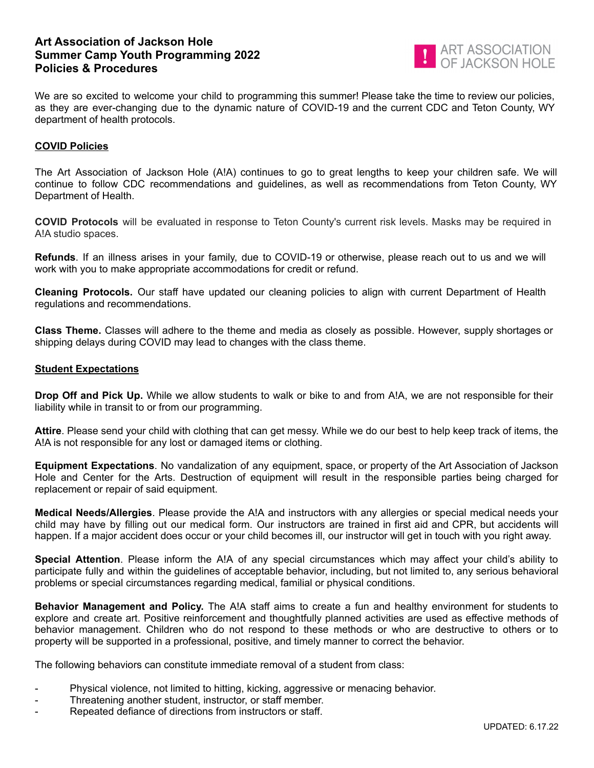## **Art Association of Jackson Hole Summer Camp Youth Programming 2022 Policies & Procedures**



We are so excited to welcome your child to programming this summer! Please take the time to review our policies, as they are ever-changing due to the dynamic nature of COVID-19 and the current CDC and Teton County, WY department of health protocols.

## **COVID Policies**

The Art Association of Jackson Hole (A!A) continues to go to great lengths to keep your children safe. We will continue to follow CDC recommendations and guidelines, as well as recommendations from Teton County, WY Department of Health.

**COVID Protocols** will be evaluated in response to Teton County's current risk levels. Masks may be required in A!A studio spaces.

**Refunds**. If an illness arises in your family, due to COVID-19 or otherwise, please reach out to us and we will work with you to make appropriate accommodations for credit or refund.

**Cleaning Protocols.** Our staff have updated our cleaning policies to align with current Department of Health regulations and recommendations.

**Class Theme.** Classes will adhere to the theme and media as closely as possible. However, supply shortages or shipping delays during COVID may lead to changes with the class theme.

## **Student Expectations**

**Drop Off and Pick Up.** While we allow students to walk or bike to and from A!A, we are not responsible for their liability while in transit to or from our programming.

**Attire**. Please send your child with clothing that can get messy. While we do our best to help keep track of items, the A!A is not responsible for any lost or damaged items or clothing.

**Equipment Expectations**. No vandalization of any equipment, space, or property of the Art Association of Jackson Hole and Center for the Arts. Destruction of equipment will result in the responsible parties being charged for replacement or repair of said equipment.

**Medical Needs/Allergies**. Please provide the A!A and instructors with any allergies or special medical needs your child may have by filling out our medical form. Our instructors are trained in first aid and CPR, but accidents will happen. If a major accident does occur or your child becomes ill, our instructor will get in touch with you right away.

**Special Attention**. Please inform the A!A of any special circumstances which may affect your child's ability to participate fully and within the guidelines of acceptable behavior, including, but not limited to, any serious behavioral problems or special circumstances regarding medical, familial or physical conditions.

**Behavior Management and Policy.** The A!A staff aims to create a fun and healthy environment for students to explore and create art. Positive reinforcement and thoughtfully planned activities are used as effective methods of behavior management. Children who do not respond to these methods or who are destructive to others or to property will be supported in a professional, positive, and timely manner to correct the behavior.

The following behaviors can constitute immediate removal of a student from class:

- Physical violence, not limited to hitting, kicking, aggressive or menacing behavior.
- Threatening another student, instructor, or staff member.
- Repeated defiance of directions from instructors or staff.